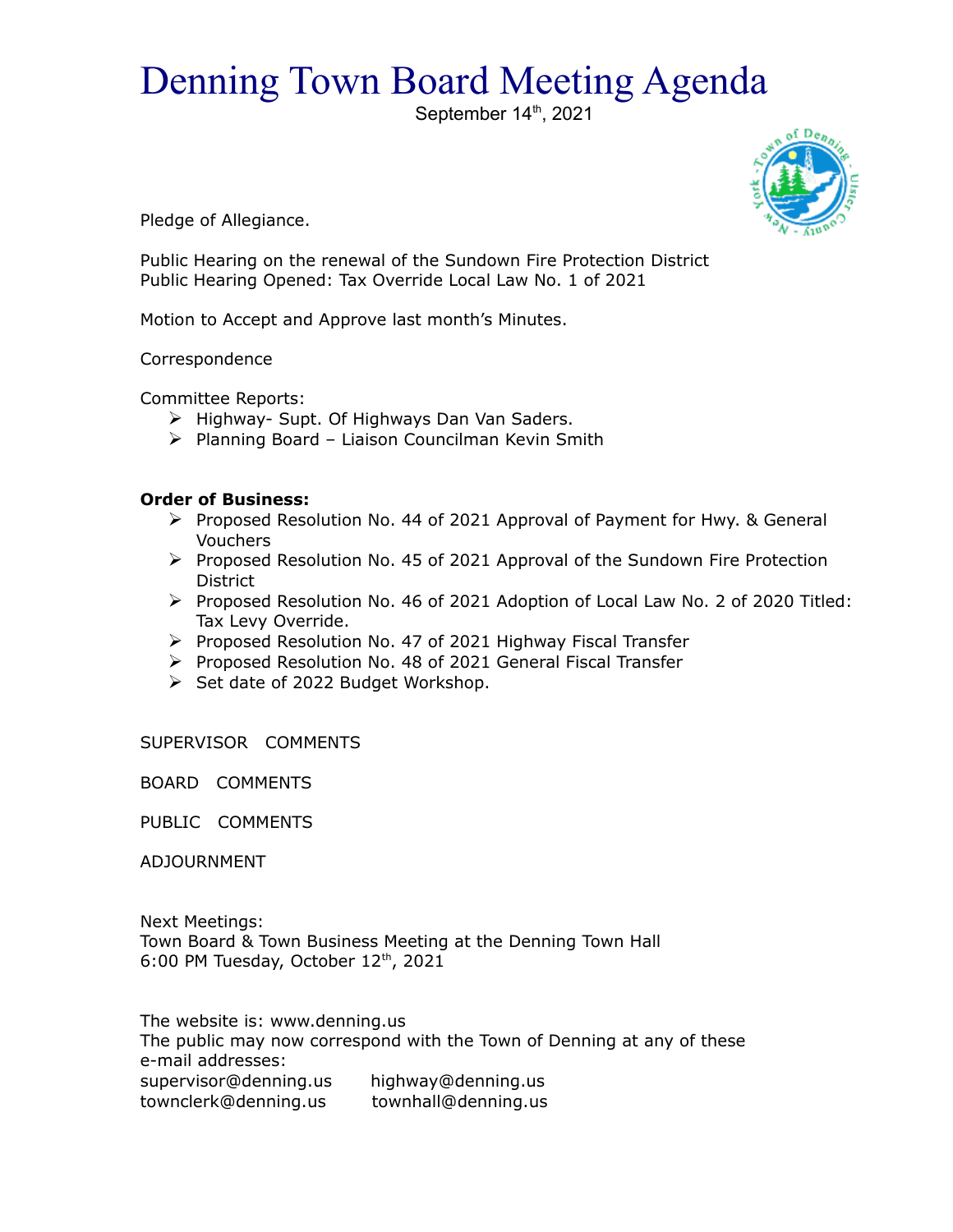## Denning Town Board Meeting Agenda

September 14th, 2021



Pledge of Allegiance.

Public Hearing on the renewal of the Sundown Fire Protection District Public Hearing Opened: Tax Override Local Law No. 1 of 2021

Motion to Accept and Approve last month's Minutes.

Correspondence

Committee Reports:

- $\triangleright$  Highway- Supt. Of Highways Dan Van Saders.
- $\triangleright$  Planning Board Liaison Councilman Kevin Smith

## **Order of Business:**

- $\triangleright$  Proposed Resolution No. 44 of 2021 Approval of Payment for Hwy. & General Vouchers
- Proposed Resolution No. 45 of 2021 Approval of the Sundown Fire Protection District
- Proposed Resolution No. 46 of 2021 Adoption of Local Law No. 2 of 2020 Titled: Tax Levy Override.
- Proposed Resolution No. 47 of 2021 Highway Fiscal Transfer
- ▶ Proposed Resolution No. 48 of 2021 General Fiscal Transfer
- $\triangleright$  Set date of 2022 Budget Workshop.

SUPERVISOR COMMENTS

BOARD COMMENTS

PUBLIC COMMENTS

ADJOURNMENT

Next Meetings: Town Board & Town Business Meeting at the Denning Town Hall 6:00 PM Tuesday, October 12<sup>th</sup>, 2021

The website is: www.denning.us The public may now correspond with the Town of Denning at any of these e-mail addresses: supervisor@denning.us highway@denning.us townclerk@denning.us townhall@denning.us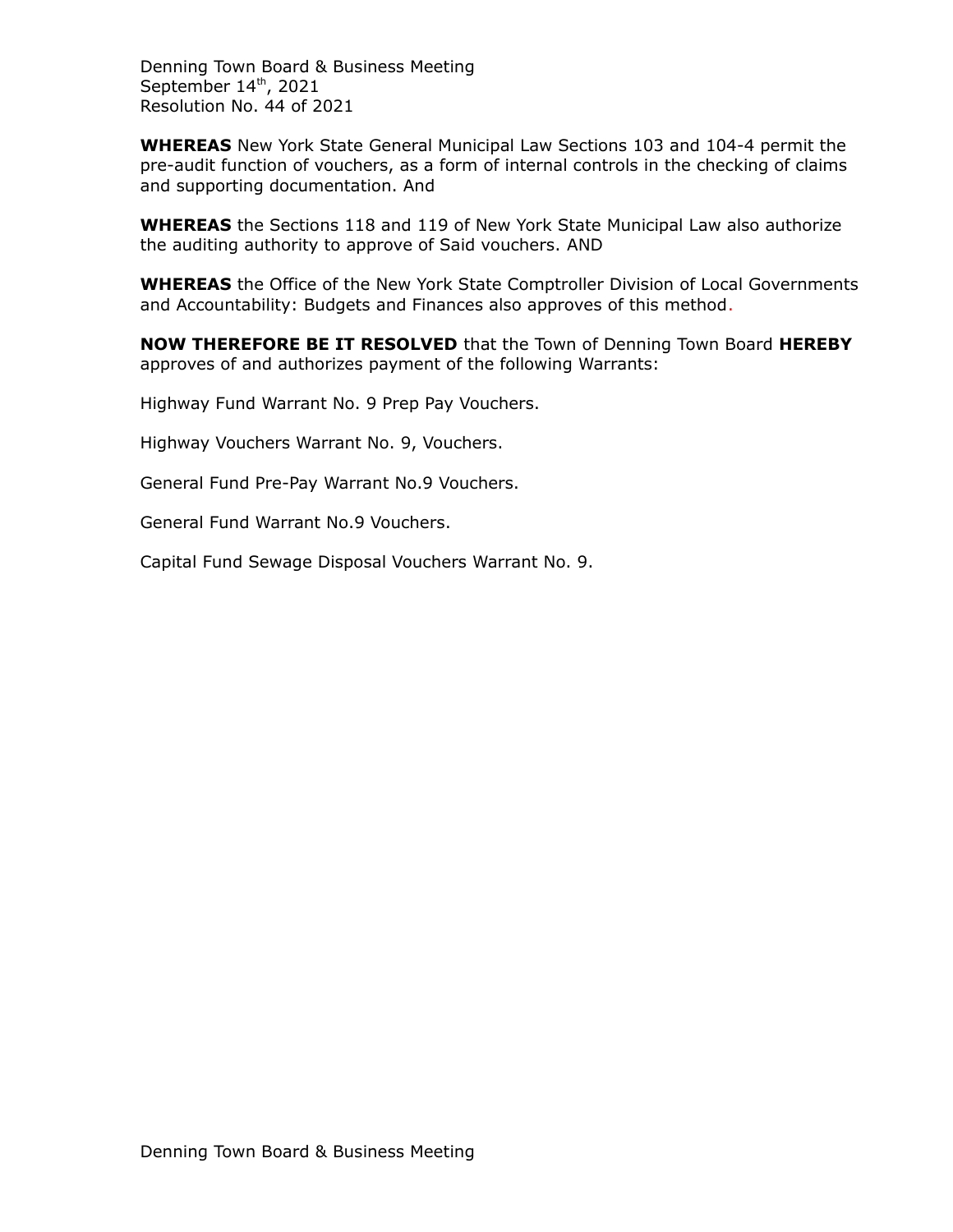Denning Town Board & Business Meeting September 14<sup>th</sup>, 2021 Resolution No. 44 of 2021

**WHEREAS** New York State General Municipal Law Sections 103 and 104-4 permit the pre-audit function of vouchers, as a form of internal controls in the checking of claims and supporting documentation. And

**WHEREAS** the Sections 118 and 119 of New York State Municipal Law also authorize the auditing authority to approve of Said vouchers. AND

**WHEREAS** the Office of the New York State Comptroller Division of Local Governments and Accountability: Budgets and Finances also approves of this method.

**NOW THEREFORE BE IT RESOLVED** that the Town of Denning Town Board **HEREBY** approves of and authorizes payment of the following Warrants:

Highway Fund Warrant No. 9 Prep Pay Vouchers.

Highway Vouchers Warrant No. 9, Vouchers.

General Fund Pre-Pay Warrant No.9 Vouchers.

General Fund Warrant No.9 Vouchers.

Capital Fund Sewage Disposal Vouchers Warrant No. 9.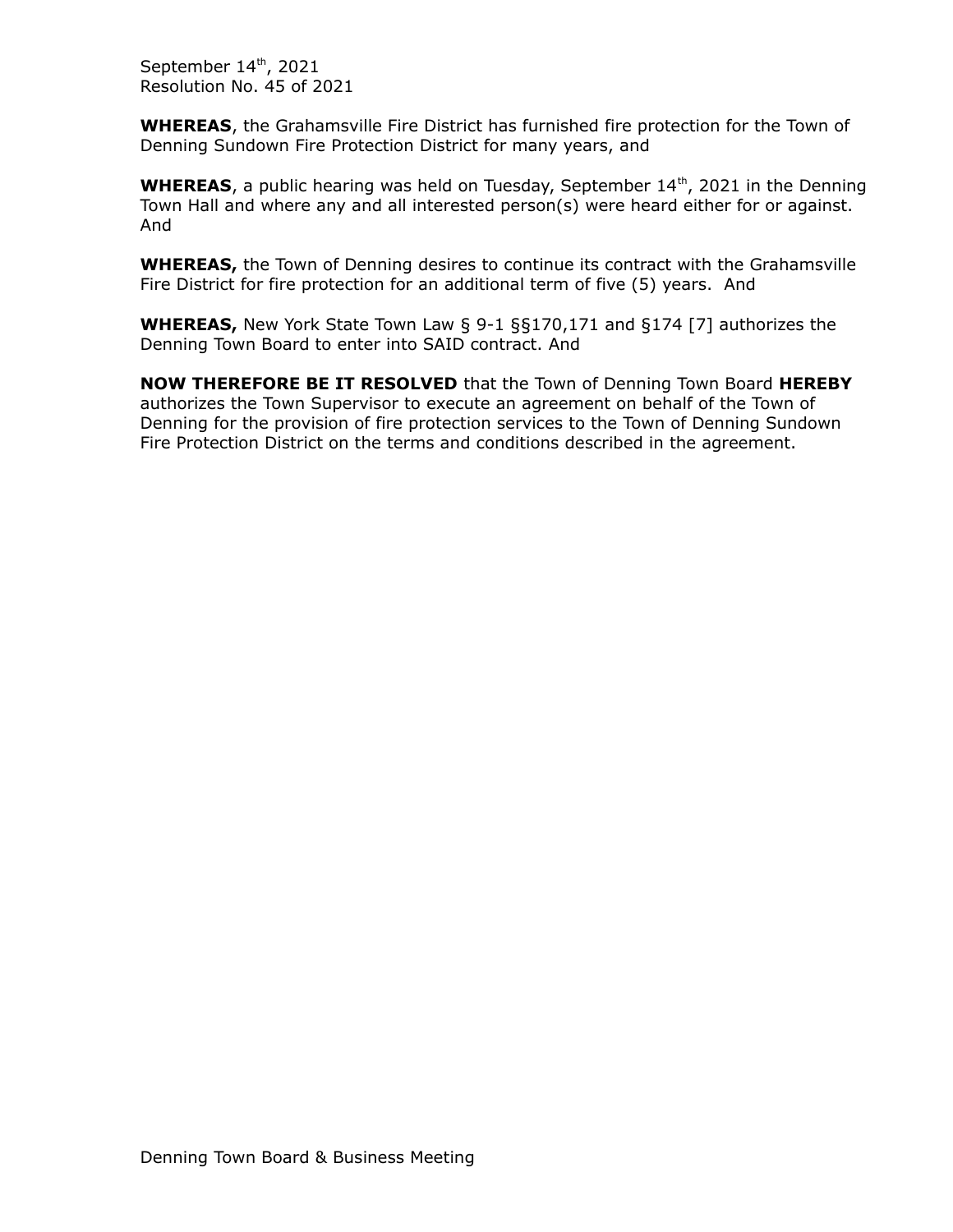September 14th, 2021 Resolution No. 45 of 2021

**WHEREAS**, the Grahamsville Fire District has furnished fire protection for the Town of Denning Sundown Fire Protection District for many years, and

**WHEREAS**, a public hearing was held on Tuesday, September 14<sup>th</sup>, 2021 in the Denning Town Hall and where any and all interested person(s) were heard either for or against. And

**WHEREAS,** the Town of Denning desires to continue its contract with the Grahamsville Fire District for fire protection for an additional term of five (5) years. And

**WHEREAS,** New York State Town Law § 9-1 §§170,171 and §174 [7] authorizes the Denning Town Board to enter into SAID contract. And

**NOW THEREFORE BE IT RESOLVED** that the Town of Denning Town Board **HEREBY** authorizes the Town Supervisor to execute an agreement on behalf of the Town of Denning for the provision of fire protection services to the Town of Denning Sundown Fire Protection District on the terms and conditions described in the agreement.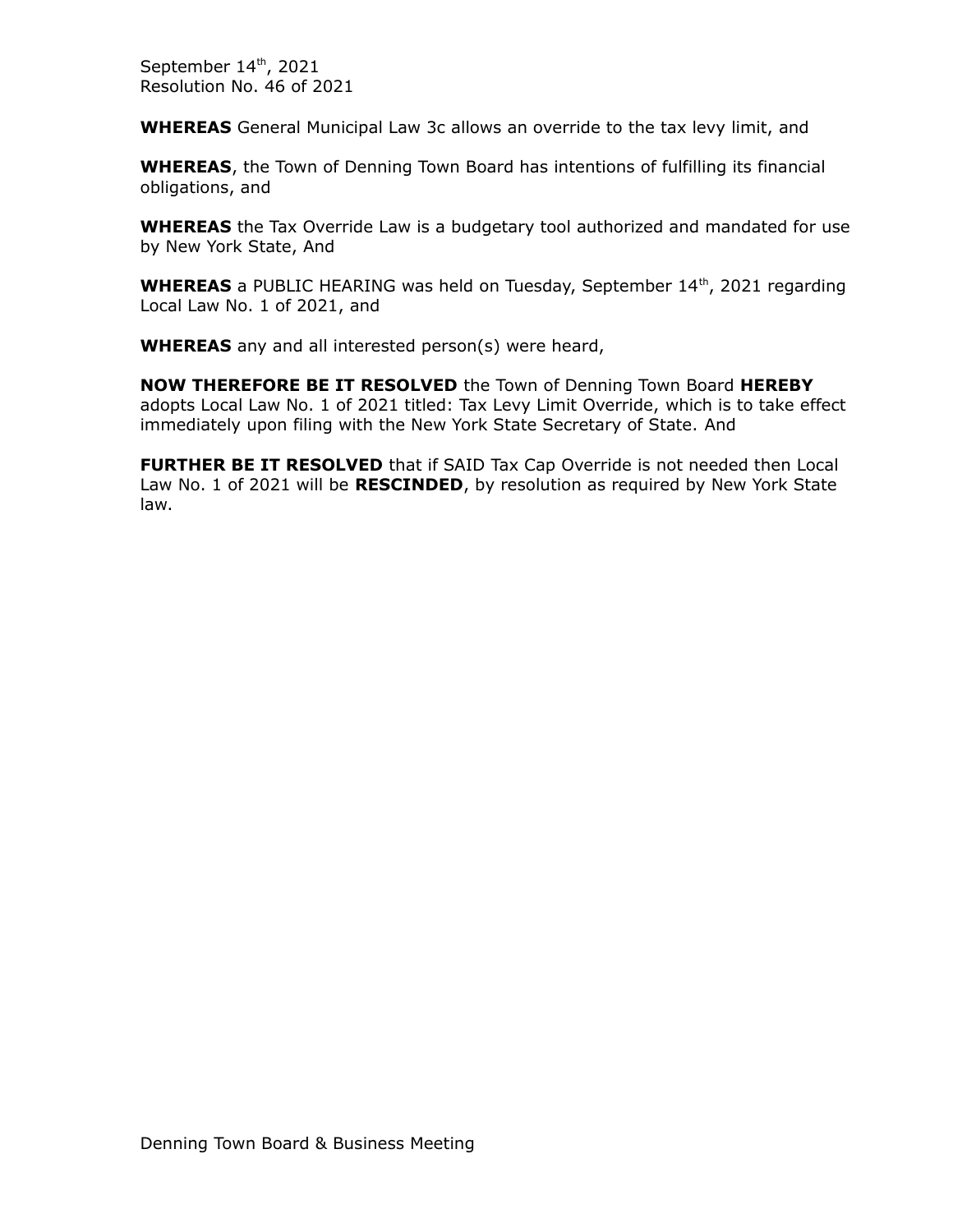September 14th, 2021 Resolution No. 46 of 2021

**WHEREAS** General Municipal Law 3c allows an override to the tax levy limit, and

**WHEREAS**, the Town of Denning Town Board has intentions of fulfilling its financial obligations, and

**WHEREAS** the Tax Override Law is a budgetary tool authorized and mandated for use by New York State, And

**WHEREAS** a PUBLIC HEARING was held on Tuesday, September 14<sup>th</sup>, 2021 regarding Local Law No. 1 of 2021, and

**WHEREAS** any and all interested person(s) were heard,

**NOW THEREFORE BE IT RESOLVED** the Town of Denning Town Board **HEREBY** adopts Local Law No. 1 of 2021 titled: Tax Levy Limit Override, which is to take effect immediately upon filing with the New York State Secretary of State. And

**FURTHER BE IT RESOLVED** that if SAID Tax Cap Override is not needed then Local Law No. 1 of 2021 will be **RESCINDED**, by resolution as required by New York State law.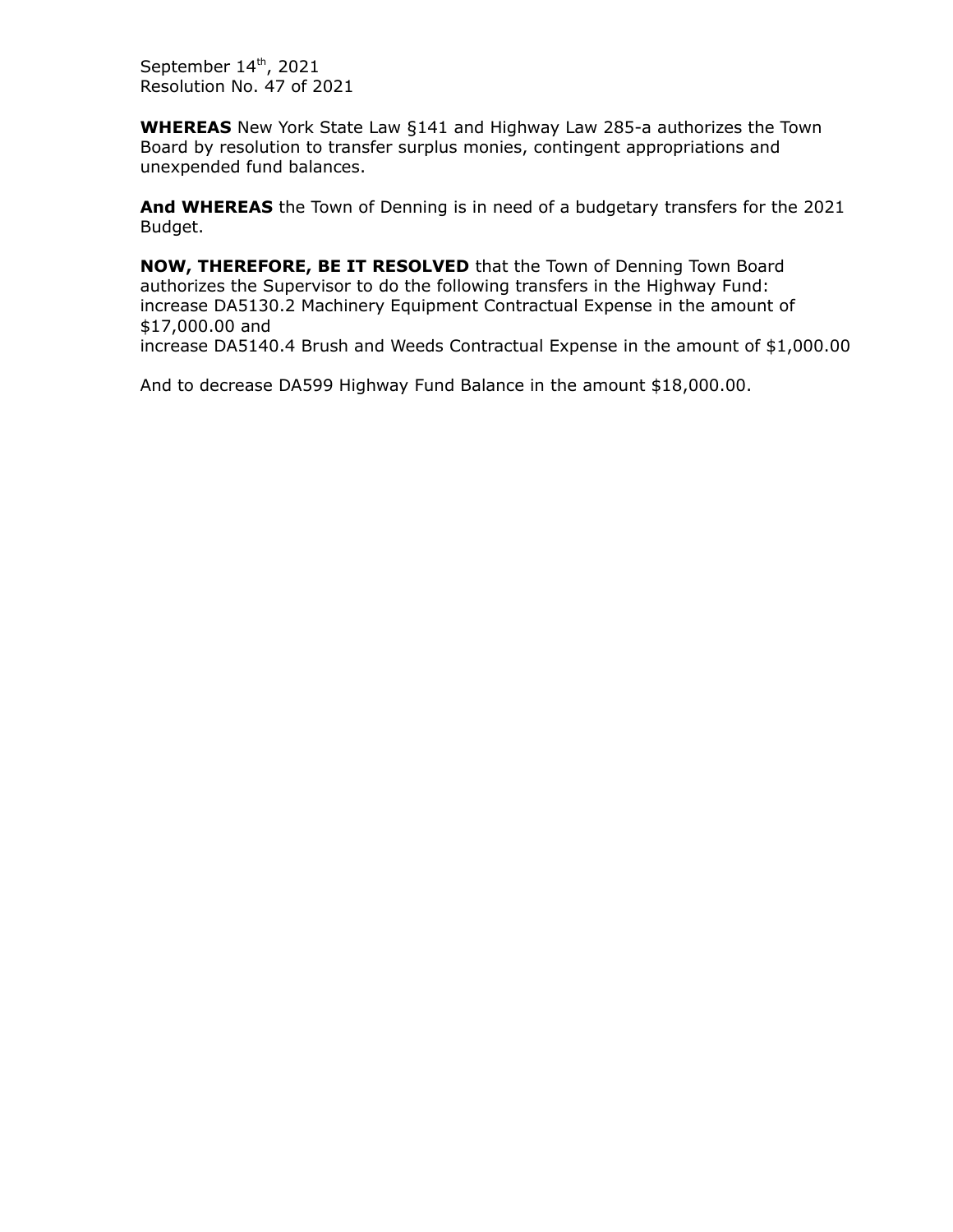September 14th, 2021 Resolution No. 47 of 2021

**WHEREAS** New York State Law §141 and Highway Law 285-a authorizes the Town Board by resolution to transfer surplus monies, contingent appropriations and unexpended fund balances.

**And WHEREAS** the Town of Denning is in need of a budgetary transfers for the 2021 Budget.

**NOW, THEREFORE, BE IT RESOLVED** that the Town of Denning Town Board authorizes the Supervisor to do the following transfers in the Highway Fund: increase DA5130.2 Machinery Equipment Contractual Expense in the amount of \$17,000.00 and increase DA5140.4 Brush and Weeds Contractual Expense in the amount of \$1,000.00

And to decrease DA599 Highway Fund Balance in the amount \$18,000.00.